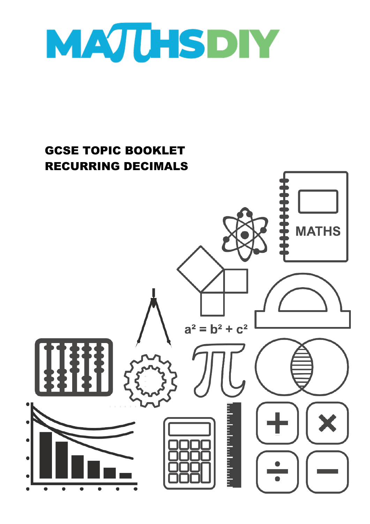

# GCSE TOPIC BOOKLET RECURRING DECIMALS**MATHS**  $a^2 = b^2 + c^2$ a bandar bandar b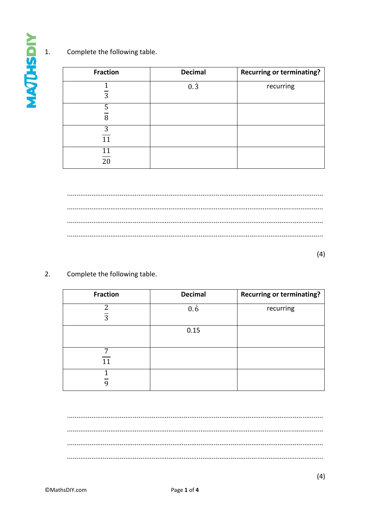Complete the following table.  $\overline{1}$ .

| <b>Fraction</b> | <b>Decimal</b> | <b>Recurring or terminating?</b> |
|-----------------|----------------|----------------------------------|
| 3               | $0.\,3$        | recurring                        |
| 5<br>8          |                |                                  |
| 3<br>11         |                |                                  |
| 11<br>20        |                |                                  |

 $(4)$ 

Complete the following table.  $2.$ 

| <b>Fraction</b> | <b>Decimal</b> | <b>Recurring or terminating?</b> |
|-----------------|----------------|----------------------------------|
| っ<br>3          | $0.\dot{6}$    | recurring                        |
|                 | 0.15           |                                  |
| 7<br>11         |                |                                  |
|                 |                |                                  |

**MATHSDIY** 

 $(4)$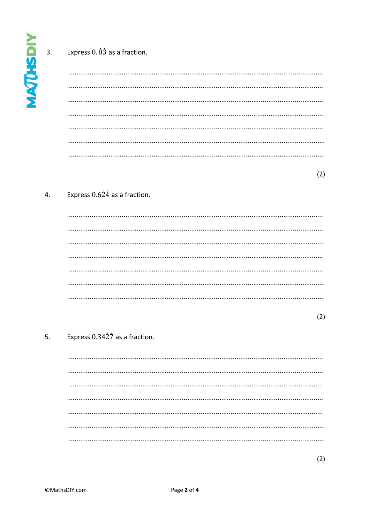$\overline{3}$ .

# Express 0.83 as a fraction.

 $(2)$ 

# Express  $0.624$  as a fraction.  $\overline{4}$ .

 $(2)$ 

### $5.$ Express 0.3427 as a fraction.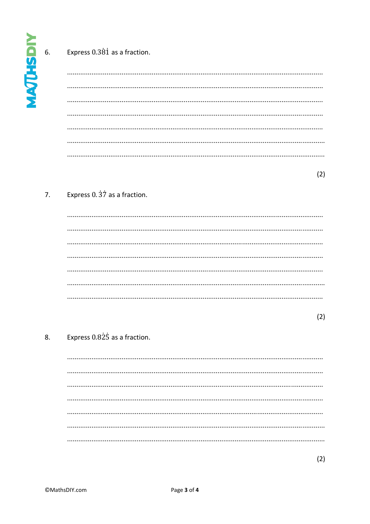6.

# Express 0.381 as a fraction.

 $(2)$ 

### Express 0.37 as a fraction.  $7<sub>1</sub>$

 $(2)$ 

# Express 0.825 as a fraction. 8.